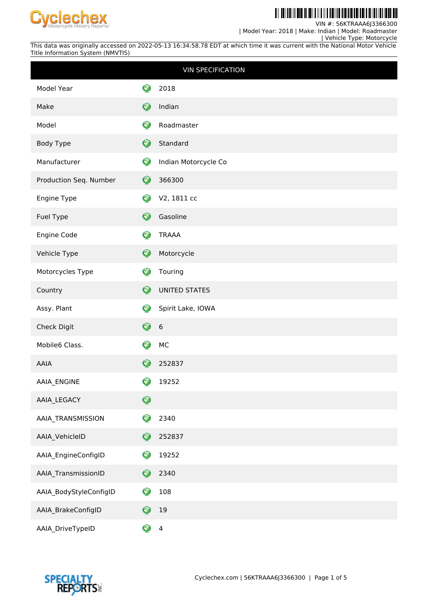

#### <u> Ali kolonik dhe ilidhi a ili a la mila ali liberati dhe </u> H

VIN #: 56KTRAAA6J3366300

| Model Year: 2018 | Make: Indian | Model: Roadmaster

 | Vehicle Type: Motorcycle This data was originally accessed on 2022-05-13 16:34:58.78 EDT at which time it was current with the National Motor Vehicle Title Information System (NMVTIS)

| <b>VIN SPECIFICATION</b> |                      |                      |  |  |  |
|--------------------------|----------------------|----------------------|--|--|--|
| Model Year               | 3                    | 2018                 |  |  |  |
| Make                     | $\bullet$            | Indian               |  |  |  |
| Model                    | Ø                    | Roadmaster           |  |  |  |
| Body Type                | $\bullet$            | Standard             |  |  |  |
| Manufacturer             | ❤                    | Indian Motorcycle Co |  |  |  |
| Production Seq. Number   | Ø                    | 366300               |  |  |  |
| Engine Type              | Ø                    | V2, 1811 cc          |  |  |  |
| Fuel Type                | 0                    | Gasoline             |  |  |  |
| Engine Code              | ♡                    | <b>TRAAA</b>         |  |  |  |
| Vehicle Type             | $\bullet$            | Motorcycle           |  |  |  |
| Motorcycles Type         | Ø                    | Touring              |  |  |  |
| Country                  | $\bullet$            | <b>UNITED STATES</b> |  |  |  |
| Assy. Plant              | ♡                    | Spirit Lake, IOWA    |  |  |  |
| Check Digit              | €                    | $\boldsymbol{6}$     |  |  |  |
| Mobile6 Class.           | Ø                    | MC                   |  |  |  |
| AAIA                     | $\blacktriangledown$ | 252837               |  |  |  |
| AAIA_ENGINE              | Ø                    | 19252                |  |  |  |
| AAIA_LEGACY              | $\bullet$            |                      |  |  |  |
| AAIA_TRANSMISSION        | Ø                    | 2340                 |  |  |  |
| AAIA_VehicleID           | $\mathbf \Theta$     | 252837               |  |  |  |
| AAIA_EngineConfigID      | Ø                    | 19252                |  |  |  |
| AAIA_TransmissionID      | 0                    | 2340                 |  |  |  |
| AAIA_BodyStyleConfigID   | 0                    | $108\,$              |  |  |  |
| AAIA_BrakeConfigID       | 0                    | 19                   |  |  |  |
| AAIA_DriveTypeID         | ❤                    | $\overline{4}$       |  |  |  |

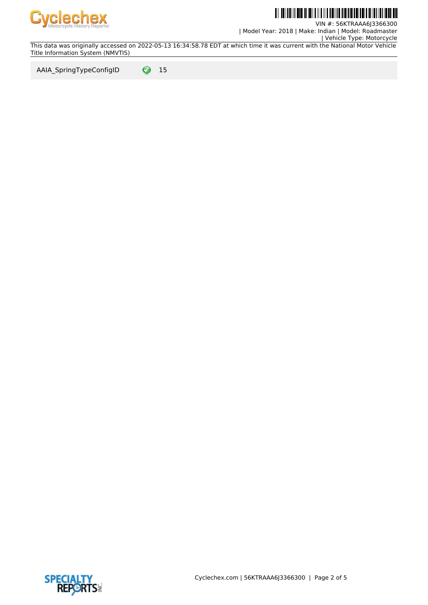

# <u>Tii dhii dhi dha il inii 1 il 1 il 1 ilmiin tii 1 il 1 ilmii 1 i</u>

VIN #: 56KTRAAA6J3366300 | Model Year: 2018 | Make: Indian | Model: Roadmaster

 | Vehicle Type: Motorcycle This data was originally accessed on 2022-05-13 16:34:58.78 EDT at which time it was current with the National Motor Vehicle Title Information System (NMVTIS)

AAIA\_SpringTypeConfigID  $\bigcirc$  15

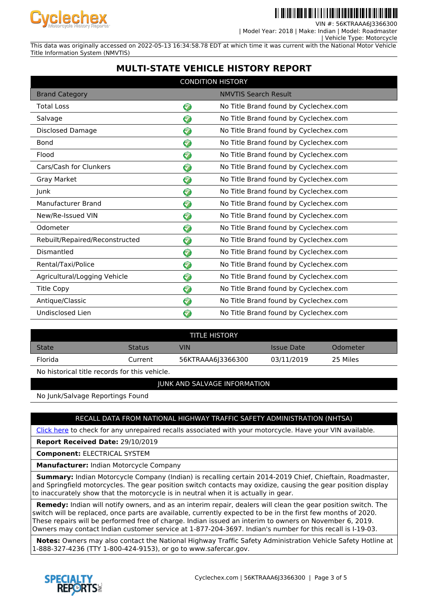

II II IIII I II II I IIIIII IIIII

VIN #: 56KTRAAA6J3366300 | Model Year: 2018 | Make: Indian | Model: Roadmaster

| Vehicle Type: Motorcycle

This data was originally accessed on 2022-05-13 16:34:58.78 EDT at which time it was current with the National Motor Vehicle Title Information System (NMVTIS)

### **MULTI-STATE VEHICLE HISTORY REPORT**

| <b>CONDITION HISTORY</b>       |              |                                       |  |  |  |
|--------------------------------|--------------|---------------------------------------|--|--|--|
| <b>Brand Category</b>          |              | <b>NMVTIS Search Result</b>           |  |  |  |
| <b>Total Loss</b>              | ♡            | No Title Brand found by Cyclechex.com |  |  |  |
| Salvage                        | Ø            | No Title Brand found by Cyclechex.com |  |  |  |
| <b>Disclosed Damage</b>        | 7            | No Title Brand found by Cyclechex.com |  |  |  |
| <b>Bond</b>                    | 0            | No Title Brand found by Cyclechex.com |  |  |  |
| Flood                          | ❤            | No Title Brand found by Cyclechex.com |  |  |  |
| Cars/Cash for Clunkers         | ❤            | No Title Brand found by Cyclechex.com |  |  |  |
| Gray Market                    | ❤            | No Title Brand found by Cyclechex.com |  |  |  |
| Junk                           | ❤            | No Title Brand found by Cyclechex.com |  |  |  |
| Manufacturer Brand             | ❤            | No Title Brand found by Cyclechex.com |  |  |  |
| New/Re-Issued VIN              | ❤            | No Title Brand found by Cyclechex.com |  |  |  |
| Odometer                       | 3            | No Title Brand found by Cyclechex.com |  |  |  |
| Rebuilt/Repaired/Reconstructed | ❤            | No Title Brand found by Cyclechex.com |  |  |  |
| Dismantled                     | ଚ            | No Title Brand found by Cyclechex.com |  |  |  |
| Rental/Taxi/Police             | ❤            | No Title Brand found by Cyclechex.com |  |  |  |
| Agricultural/Logging Vehicle   | ❤            | No Title Brand found by Cyclechex.com |  |  |  |
| <b>Title Copy</b>              | ❤            | No Title Brand found by Cyclechex.com |  |  |  |
| Antique/Classic                | 3            | No Title Brand found by Cyclechex.com |  |  |  |
| Undisclosed Lien               | <del>⊲</del> | No Title Brand found by Cyclechex.com |  |  |  |

| <b>TITLE HISTORY</b> |               |                   |            |          |  |  |
|----------------------|---------------|-------------------|------------|----------|--|--|
| <b>State</b>         | <b>Status</b> | VIN               | Issue Date | Odometer |  |  |
| <b>Florida</b>       | Current       | 56KTRAAA6J3366300 | 03/11/2019 | 25 Miles |  |  |

No historical title records for this vehicle.

### JUNK AND SALVAGE INFORMATION

No Junk/Salvage Reportings Found

### RECALL DATA FROM NATIONAL HIGHWAY TRAFFIC SAFETY ADMINISTRATION (NHTSA)

[Click here](https://www-odi.nhtsa.dot.gov/owners/SearchSafetyIssues) to check for any unrepaired recalls associated with your motorcycle. Have your VIN available.

**Report Received Date:** 29/10/2019

**Component:** ELECTRICAL SYSTEM

**Manufacturer:** Indian Motorcycle Company

 **Summary:** Indian Motorcycle Company (Indian) is recalling certain 2014-2019 Chief, Chieftain, Roadmaster, and Springfield motorcycles. The gear position switch contacts may oxidize, causing the gear position display to inaccurately show that the motorcycle is in neutral when it is actually in gear.

 **Remedy:** Indian will notify owners, and as an interim repair, dealers will clean the gear position switch. The switch will be replaced, once parts are available, currently expected to be in the first few months of 2020. These repairs will be performed free of charge. Indian issued an interim to owners on November 6, 2019. Owners may contact Indian customer service at 1-877-204-3697. Indian's number for this recall is I-19-03.

 **Notes:** Owners may also contact the National Highway Traffic Safety Administration Vehicle Safety Hotline at 1-888-327-4236 (TTY 1-800-424-9153), or go to www.safercar.gov.

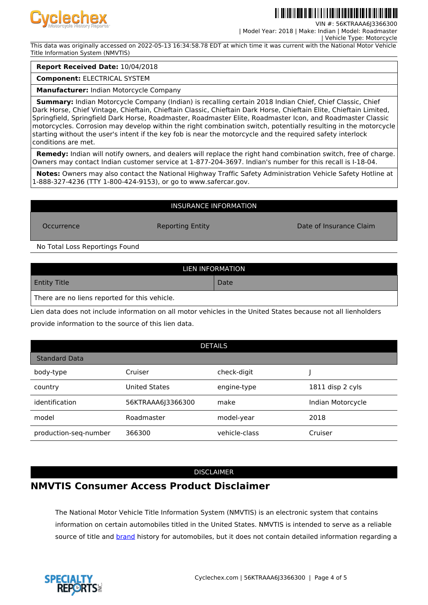

VIN #: 56KTRAAA6J3366300

| Model Year: 2018 | Make: Indian | Model: Roadmaster

 | Vehicle Type: Motorcycle This data was originally accessed on 2022-05-13 16:34:58.78 EDT at which time it was current with the National Motor Vehicle Title Information System (NMVTIS)

#### **Report Received Date:** 10/04/2018

**Component:** ELECTRICAL SYSTEM

**Manufacturer:** Indian Motorcycle Company

 **Summary:** Indian Motorcycle Company (Indian) is recalling certain 2018 Indian Chief, Chief Classic, Chief Dark Horse, Chief Vintage, Chieftain, Chieftain Classic, Chieftain Dark Horse, Chieftain Elite, Chieftain Limited, Springfield, Springfield Dark Horse, Roadmaster, Roadmaster Elite, Roadmaster Icon, and Roadmaster Classic motorcycles. Corrosion may develop within the right combination switch, potentially resulting in the motorcycle starting without the user's intent if the key fob is near the motorcycle and the required safety interlock conditions are met.

 **Remedy:** Indian will notify owners, and dealers will replace the right hand combination switch, free of charge. Owners may contact Indian customer service at 1-877-204-3697. Indian's number for this recall is I-18-04.

 **Notes:** Owners may also contact the National Highway Traffic Safety Administration Vehicle Safety Hotline at 1-888-327-4236 (TTY 1-800-424-9153), or go to www.safercar.gov.

#### INSURANCE INFORMATION

Occurrence Reporting Entity Date of Insurance Claim

No Total Loss Reportings Found

| LIEN INFORMATION                              |      |  |  |  |  |
|-----------------------------------------------|------|--|--|--|--|
| <b>Entity Title</b>                           | Date |  |  |  |  |
| There are no liens reported for this vehicle. |      |  |  |  |  |

Lien data does not include information on all motor vehicles in the United States because not all lienholders provide information to the source of this lien data.

| <b>DETAILS</b>        |                      |               |                   |  |  |  |
|-----------------------|----------------------|---------------|-------------------|--|--|--|
| <b>Standard Data</b>  |                      |               |                   |  |  |  |
| body-type             | Cruiser              | check-digit   |                   |  |  |  |
| country               | <b>United States</b> | engine-type   | 1811 disp 2 cyls  |  |  |  |
| identification        | 56KTRAAA6J3366300    | make          | Indian Motorcycle |  |  |  |
| model                 | Roadmaster           | model-year    | 2018              |  |  |  |
| production-seq-number | 366300               | vehicle-class | Cruiser           |  |  |  |

#### DISCLAIMER

## **NMVTIS Consumer Access Product Disclaimer**

The National Motor Vehicle Title Information System (NMVTIS) is an electronic system that contains information on certain automobiles titled in the United States. NMVTIS is intended to serve as a reliable source of title and **brand** history for automobiles, but it does not contain detailed information regarding a